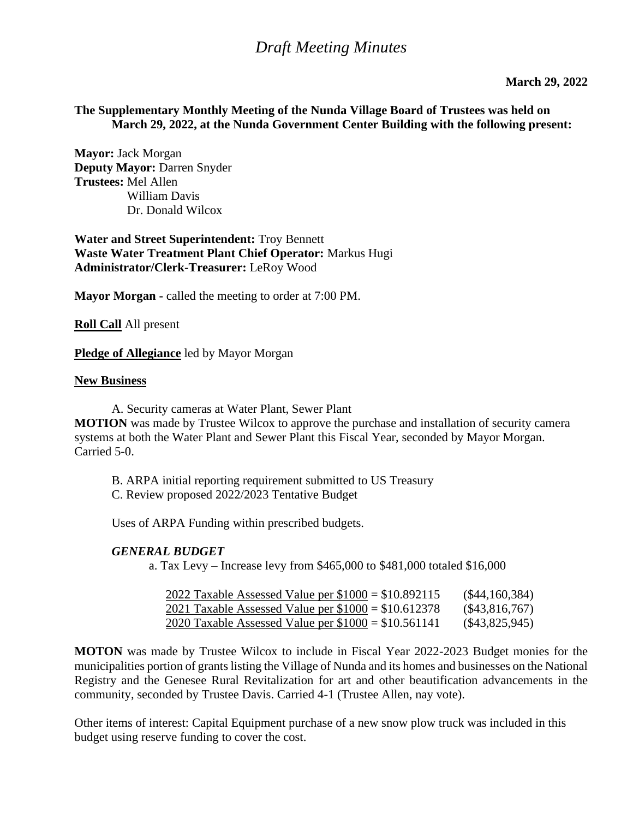## *Draft Meeting Minutes*

#### **The Supplementary Monthly Meeting of the Nunda Village Board of Trustees was held on March 29, 2022, at the Nunda Government Center Building with the following present:**

**Mayor:** Jack Morgan **Deputy Mayor:** Darren Snyder **Trustees:** Mel Allen William Davis Dr. Donald Wilcox

**Water and Street Superintendent:** Troy Bennett **Waste Water Treatment Plant Chief Operator:** Markus Hugi **Administrator/Clerk-Treasurer:** LeRoy Wood

**Mayor Morgan -** called the meeting to order at 7:00 PM.

**Roll Call** All present

**Pledge of Allegiance** led by Mayor Morgan

#### **New Business**

A. Security cameras at Water Plant, Sewer Plant

**MOTION** was made by Trustee Wilcox to approve the purchase and installation of security camera systems at both the Water Plant and Sewer Plant this Fiscal Year, seconded by Mayor Morgan. Carried 5-0.

B. ARPA initial reporting requirement submitted to US Treasury

C. Review proposed 2022/2023 Tentative Budget

Uses of ARPA Funding within prescribed budgets.

#### *GENERAL BUDGET*

a. Tax Levy – Increase levy from \$465,000 to \$481,000 totaled \$16,000

| 2022 Taxable Assessed Value per $$1000 = $10.892115$ | $(\$44,160,384)$ |
|------------------------------------------------------|------------------|
| 2021 Taxable Assessed Value per $$1000 = $10.612378$ | $(\$43,816,767)$ |
| 2020 Taxable Assessed Value per $$1000 = $10.561141$ | (S43, 825, 945)  |

**MOTON** was made by Trustee Wilcox to include in Fiscal Year 2022-2023 Budget monies for the municipalities portion of grants listing the Village of Nunda and its homes and businesses on the National Registry and the Genesee Rural Revitalization for art and other beautification advancements in the community, seconded by Trustee Davis. Carried 4-1 (Trustee Allen, nay vote).

Other items of interest: Capital Equipment purchase of a new snow plow truck was included in this budget using reserve funding to cover the cost.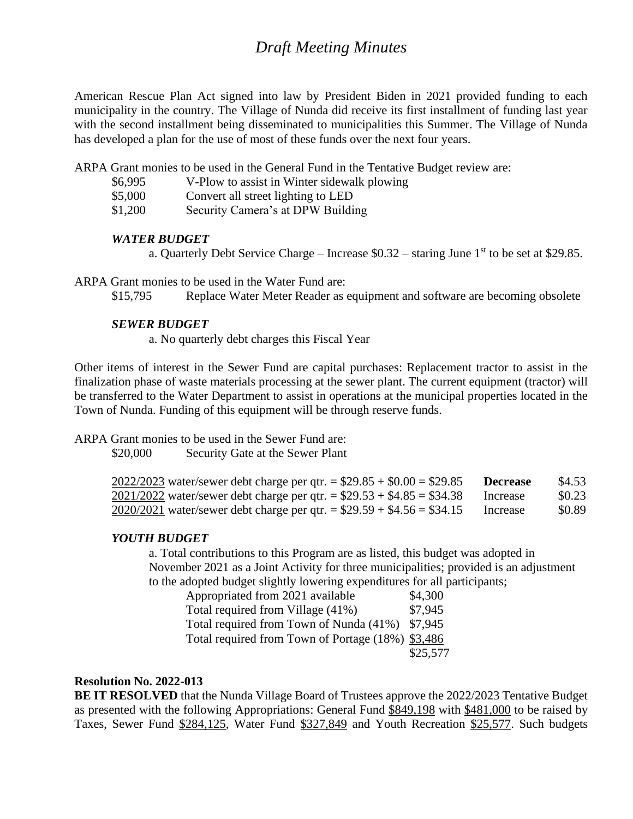# *Draft Meeting Minutes*

American Rescue Plan Act signed into law by President Biden in 2021 provided funding to each municipality in the country. The Village of Nunda did receive its first installment of funding last year with the second installment being disseminated to municipalities this Summer. The Village of Nunda has developed a plan for the use of most of these funds over the next four years.

ARPA Grant monies to be used in the General Fund in the Tentative Budget review are:

- \$6,995 V-Plow to assist in Winter sidewalk plowing
- \$5,000 Convert all street lighting to LED
- \$1,200 Security Camera's at DPW Building

#### *WATER BUDGET*

a. Quarterly Debt Service Charge – Increase  $$0.32$  – staring June 1<sup>st</sup> to be set at \$29.85.

ARPA Grant monies to be used in the Water Fund are:

\$15,795 Replace Water Meter Reader as equipment and software are becoming obsolete

#### *SEWER BUDGET*

a. No quarterly debt charges this Fiscal Year

Other items of interest in the Sewer Fund are capital purchases: Replacement tractor to assist in the finalization phase of waste materials processing at the sewer plant. The current equipment (tractor) will be transferred to the Water Department to assist in operations at the municipal properties located in the Town of Nunda. Funding of this equipment will be through reserve funds.

ARPA Grant monies to be used in the Sewer Fund are:

\$20,000 Security Gate at the Sewer Plant

|  |  | 2022/2023 water/sewer debt charge per qtr. = $$29.85 + $0.00 = $29.85$    | Decrease | \$4.53 |
|--|--|---------------------------------------------------------------------------|----------|--------|
|  |  | $2021/2022$ water/sewer debt charge per qtr. = \$29.53 + \$4.85 = \$34.38 | Increase | \$0.23 |
|  |  | $2020/2021$ water/sewer debt charge per qtr. = \$29.59 + \$4.56 = \$34.15 | Increase | \$0.89 |

#### *YOUTH BUDGET*

a. Total contributions to this Program are as listed, this budget was adopted in November 2021 as a Joint Activity for three municipalities; provided is an adjustment to the adopted budget slightly lowering expenditures for all participants;

| Appropriated from 2021 available                  | \$4,300  |
|---------------------------------------------------|----------|
| Total required from Village (41%)                 | \$7,945  |
| Total required from Town of Nunda (41%)           | \$7,945  |
| Total required from Town of Portage (18%) \$3,486 |          |
|                                                   | \$25,577 |

#### **Resolution No. 2022-013**

**BE IT RESOLVED** that the Nunda Village Board of Trustees approve the 2022/2023 Tentative Budget as presented with the following Appropriations: General Fund \$849,198 with \$481,000 to be raised by Taxes, Sewer Fund \$284,125, Water Fund \$327,849 and Youth Recreation \$25,577. Such budgets